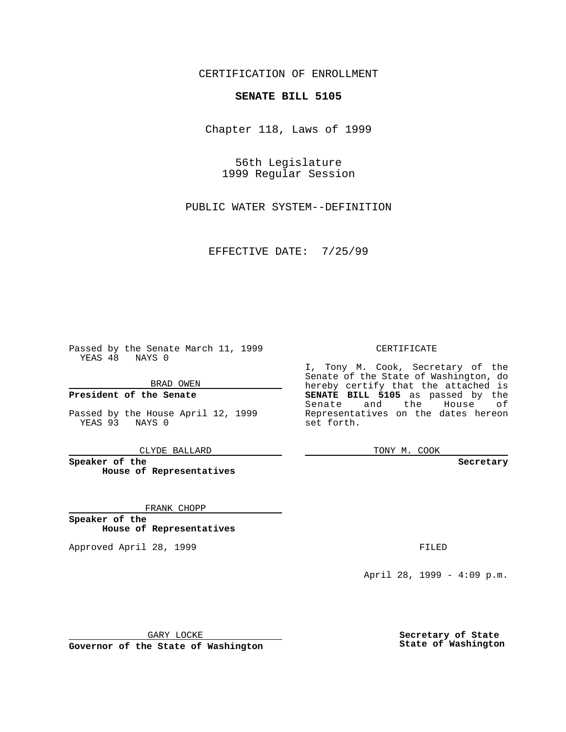CERTIFICATION OF ENROLLMENT

## **SENATE BILL 5105**

Chapter 118, Laws of 1999

56th Legislature 1999 Regular Session

PUBLIC WATER SYSTEM--DEFINITION

EFFECTIVE DATE: 7/25/99

Passed by the Senate March 11, 1999 YEAS 48 NAYS 0

BRAD OWEN

**President of the Senate**

Passed by the House April 12, 1999 YEAS 93 NAYS 0

CLYDE BALLARD

**Speaker of the House of Representatives**

FRANK CHOPP

**Speaker of the House of Representatives**

Approved April 28, 1999 **FILED** 

## CERTIFICATE

I, Tony M. Cook, Secretary of the Senate of the State of Washington, do hereby certify that the attached is **SENATE BILL 5105** as passed by the Senate and the House of Representatives on the dates hereon set forth.

TONY M. COOK

## **Secretary**

April 28, 1999 - 4:09 p.m.

GARY LOCKE

**Governor of the State of Washington**

**Secretary of State State of Washington**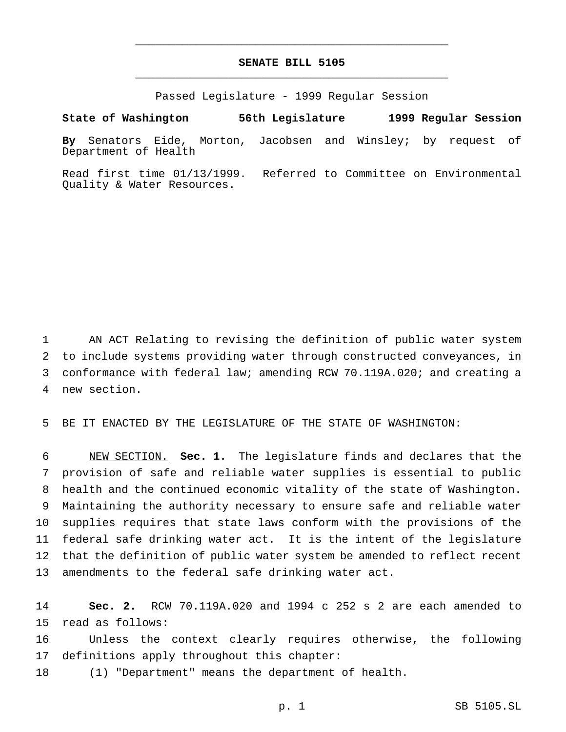## **SENATE BILL 5105** \_\_\_\_\_\_\_\_\_\_\_\_\_\_\_\_\_\_\_\_\_\_\_\_\_\_\_\_\_\_\_\_\_\_\_\_\_\_\_\_\_\_\_\_\_\_\_

\_\_\_\_\_\_\_\_\_\_\_\_\_\_\_\_\_\_\_\_\_\_\_\_\_\_\_\_\_\_\_\_\_\_\_\_\_\_\_\_\_\_\_\_\_\_\_

Passed Legislature - 1999 Regular Session

**State of Washington 56th Legislature 1999 Regular Session**

**By** Senators Eide, Morton, Jacobsen and Winsley; by request of Department of Health

Read first time 01/13/1999. Referred to Committee on Environmental Quality & Water Resources.

 AN ACT Relating to revising the definition of public water system to include systems providing water through constructed conveyances, in conformance with federal law; amending RCW 70.119A.020; and creating a new section.

BE IT ENACTED BY THE LEGISLATURE OF THE STATE OF WASHINGTON:

 NEW SECTION. **Sec. 1.** The legislature finds and declares that the provision of safe and reliable water supplies is essential to public health and the continued economic vitality of the state of Washington. Maintaining the authority necessary to ensure safe and reliable water supplies requires that state laws conform with the provisions of the federal safe drinking water act. It is the intent of the legislature that the definition of public water system be amended to reflect recent amendments to the federal safe drinking water act.

 **Sec. 2.** RCW 70.119A.020 and 1994 c 252 s 2 are each amended to read as follows:

 Unless the context clearly requires otherwise, the following definitions apply throughout this chapter:

(1) "Department" means the department of health.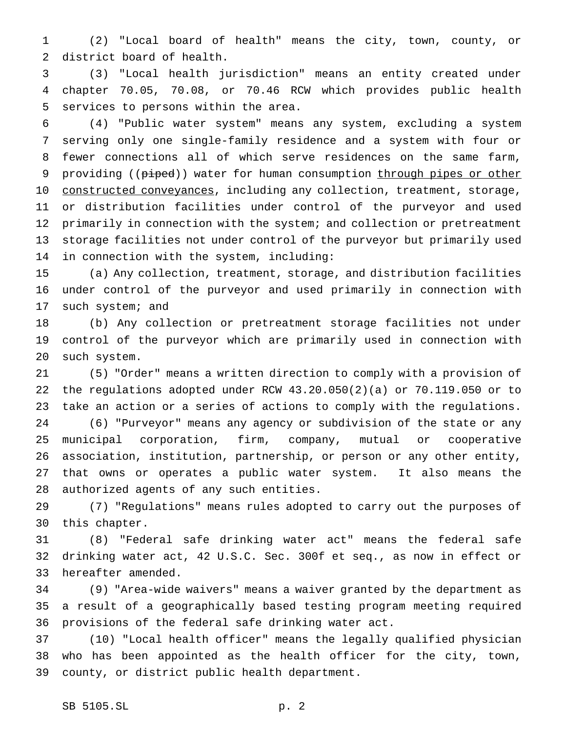(2) "Local board of health" means the city, town, county, or district board of health.

 (3) "Local health jurisdiction" means an entity created under chapter 70.05, 70.08, or 70.46 RCW which provides public health services to persons within the area.

 (4) "Public water system" means any system, excluding a system serving only one single-family residence and a system with four or fewer connections all of which serve residences on the same farm, 9 providing ((piped)) water for human consumption through pipes or other 10 constructed conveyances, including any collection, treatment, storage, or distribution facilities under control of the purveyor and used 12 primarily in connection with the system; and collection or pretreatment storage facilities not under control of the purveyor but primarily used in connection with the system, including:

 (a) Any collection, treatment, storage, and distribution facilities under control of the purveyor and used primarily in connection with 17 such system; and

 (b) Any collection or pretreatment storage facilities not under control of the purveyor which are primarily used in connection with such system.

 (5) "Order" means a written direction to comply with a provision of the regulations adopted under RCW 43.20.050(2)(a) or 70.119.050 or to take an action or a series of actions to comply with the regulations. (6) "Purveyor" means any agency or subdivision of the state or any municipal corporation, firm, company, mutual or cooperative association, institution, partnership, or person or any other entity, that owns or operates a public water system. It also means the authorized agents of any such entities.

 (7) "Regulations" means rules adopted to carry out the purposes of this chapter.

 (8) "Federal safe drinking water act" means the federal safe drinking water act, 42 U.S.C. Sec. 300f et seq., as now in effect or hereafter amended.

 (9) "Area-wide waivers" means a waiver granted by the department as a result of a geographically based testing program meeting required provisions of the federal safe drinking water act.

 (10) "Local health officer" means the legally qualified physician who has been appointed as the health officer for the city, town, county, or district public health department.